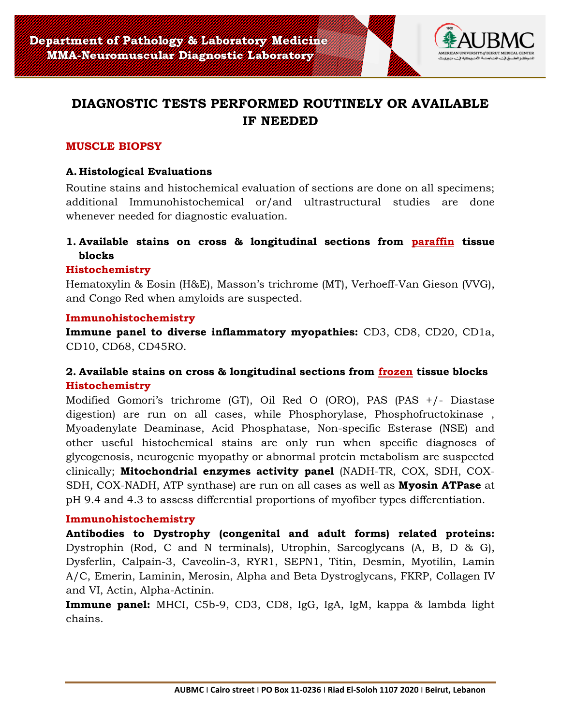

# **DIAGNOSTIC TESTS PERFORMED ROUTINELY OR AVAILABLE IF NEEDED**

# **MUSCLE BIOPSY**

## **A. Histological Evaluations**

Routine stains and histochemical evaluation of sections are done on all specimens; additional Immunohistochemical or/and ultrastructural studies are done whenever needed for diagnostic evaluation.

# **1. Available stains on cross & longitudinal sections from paraffin tissue blocks**

#### **Histochemistry**

Hematoxylin & Eosin (H&E), Masson's trichrome (MT), Verhoeff-Van Gieson (VVG), and Congo Red when amyloids are suspected.

#### **Immunohistochemistry**

**Immune panel to diverse inflammatory myopathies:** CD3, CD8, CD20, CD1a, CD10, CD68, CD45RO.

# **2. Available stains on cross & longitudinal sections from frozen tissue blocks Histochemistry**

Modified Gomori's trichrome (GT), Oil Red O (ORO), PAS (PAS +/- Diastase digestion) are run on all cases, while Phosphorylase, Phosphofructokinase , Myoadenylate Deaminase, Acid Phosphatase, Non-specific Esterase (NSE) and other useful histochemical stains are only run when specific diagnoses of glycogenosis, neurogenic myopathy or abnormal protein metabolism are suspected clinically; **Mitochondrial enzymes activity panel** (NADH-TR, COX, SDH, COX-SDH, COX-NADH, ATP synthase) are run on all cases as well as **Myosin ATPase** at pH 9.4 and 4.3 to assess differential proportions of myofiber types differentiation.

#### **Immunohistochemistry**

**Antibodies to Dystrophy (congenital and adult forms) related proteins:** Dystrophin (Rod, C and N terminals), Utrophin, Sarcoglycans (A, B, D & G), Dysferlin, Calpain-3, Caveolin-3, RYR1, SEPN1, Titin, Desmin, Myotilin, Lamin A/C, Emerin, Laminin, Merosin, Alpha and Beta Dystroglycans, FKRP, Collagen IV and VI, Actin, Alpha-Actinin.

**Immune panel:** MHCI, C5b-9, CD3, CD8, IgG, IgA, IgM, kappa & lambda light chains.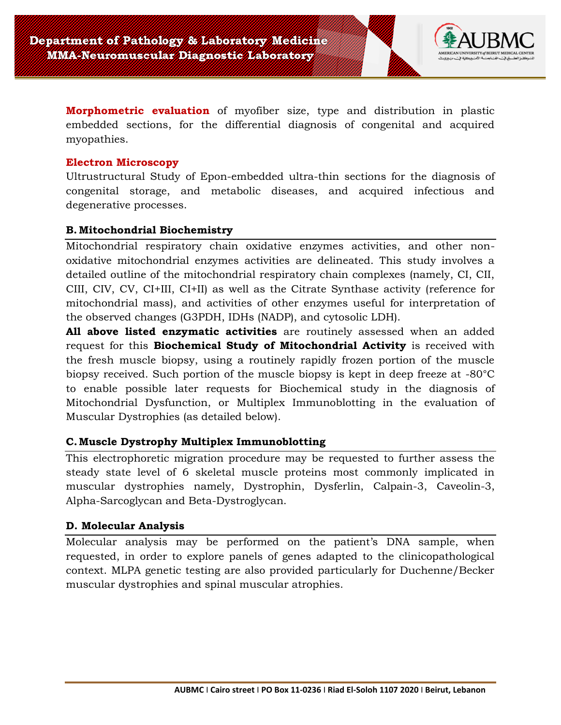

**Morphometric evaluation** of myofiber size, type and distribution in plastic embedded sections, for the differential diagnosis of congenital and acquired myopathies.

#### **Electron Microscopy**

Ultrustructural Study of Epon-embedded ultra-thin sections for the diagnosis of congenital storage, and metabolic diseases, and acquired infectious and degenerative processes.

## **B. Mitochondrial Biochemistry**

Mitochondrial respiratory chain oxidative enzymes activities, and other nonoxidative mitochondrial enzymes activities are delineated. This study involves a detailed outline of the mitochondrial respiratory chain complexes (namely, CI, CII, CIII, CIV, CV, CI+III, CI+II) as well as the Citrate Synthase activity (reference for mitochondrial mass), and activities of other enzymes useful for interpretation of the observed changes (G3PDH, IDHs (NADP), and cytosolic LDH).

**All above listed enzymatic activities** are routinely assessed when an added request for this **Biochemical Study of Mitochondrial Activity** is received with the fresh muscle biopsy, using a routinely rapidly frozen portion of the muscle biopsy received. Such portion of the muscle biopsy is kept in deep freeze at -80°C to enable possible later requests for Biochemical study in the diagnosis of Mitochondrial Dysfunction, or Multiplex Immunoblotting in the evaluation of Muscular Dystrophies (as detailed below).

# **C.Muscle Dystrophy Multiplex Immunoblotting**

This electrophoretic migration procedure may be requested to further assess the steady state level of 6 skeletal muscle proteins most commonly implicated in muscular dystrophies namely, Dystrophin, Dysferlin, Calpain-3, Caveolin-3, Alpha-Sarcoglycan and Beta-Dystroglycan.

#### **D. Molecular Analysis**

Molecular analysis may be performed on the patient's DNA sample, when requested, in order to explore panels of genes adapted to the clinicopathological context. MLPA genetic testing are also provided particularly for Duchenne/Becker muscular dystrophies and spinal muscular atrophies.